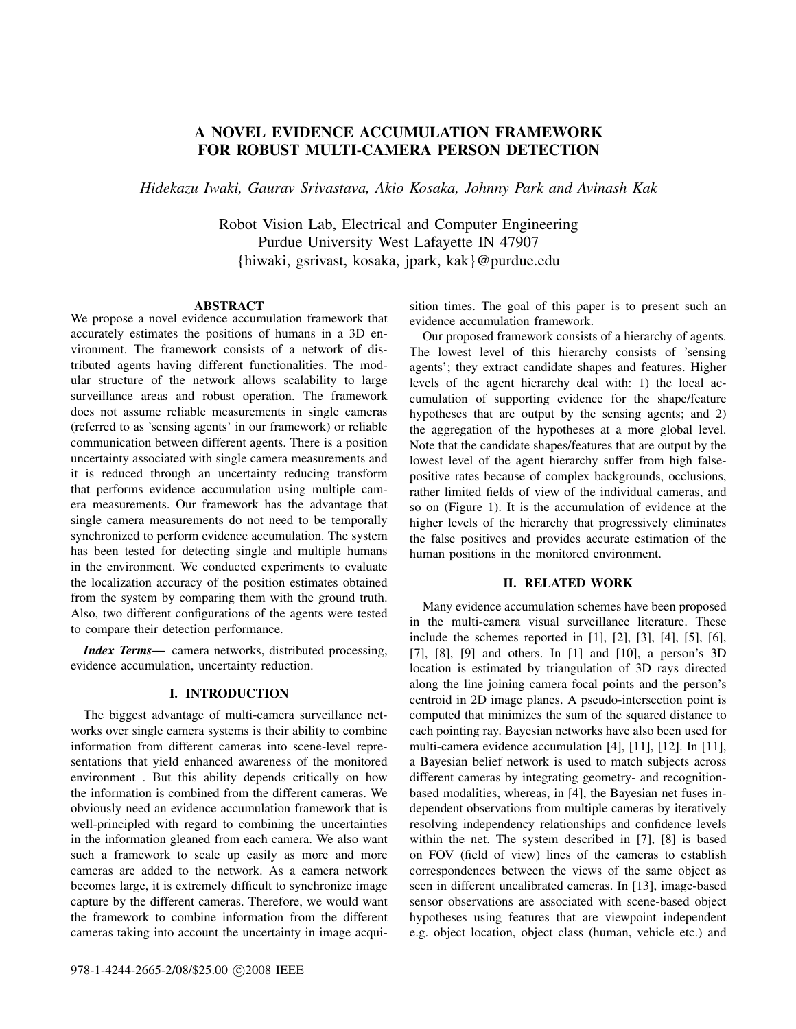# A NOVEL EVIDENCE ACCUMULATION FRAMEWORK FOR ROBUST MULTI-CAMERA PERSON DETECTION

*Hidekazu Iwaki, Gaurav Srivastava, Akio Kosaka, Johnny Park and Avinash Kak*

Robot Vision Lab, Electrical and Computer Engineering Purdue University West Lafayette IN 47907 {hiwaki, gsrivast, kosaka, jpark, kak}@purdue.edu

#### ABSTRACT

We propose a novel evidence accumulation framework that accurately estimates the positions of humans in a 3D environment. The framework consists of a network of distributed agents having different functionalities. The modular structure of the network allows scalability to large surveillance areas and robust operation. The framework does not assume reliable measurements in single cameras (referred to as 'sensing agents' in our framework) or reliable communication between different agents. There is a position uncertainty associated with single camera measurements and it is reduced through an uncertainty reducing transform that performs evidence accumulation using multiple camera measurements. Our framework has the advantage that single camera measurements do not need to be temporally synchronized to perform evidence accumulation. The system has been tested for detecting single and multiple humans in the environment. We conducted experiments to evaluate the localization accuracy of the position estimates obtained from the system by comparing them with the ground truth. Also, two different configurations of the agents were tested to compare their detection performance.

*Index Terms*— camera networks, distributed processing, evidence accumulation, uncertainty reduction.

# I. INTRODUCTION

The biggest advantage of multi-camera surveillance networks over single camera systems is their ability to combine information from different cameras into scene-level representations that yield enhanced awareness of the monitored environment . But this ability depends critically on how the information is combined from the different cameras. We obviously need an evidence accumulation framework that is well-principled with regard to combining the uncertainties in the information gleaned from each camera. We also want such a framework to scale up easily as more and more cameras are added to the network. As a camera network becomes large, it is extremely difficult to synchronize image capture by the different cameras. Therefore, we would want the framework to combine information from the different cameras taking into account the uncertainty in image acquisition times. The goal of this paper is to present such an evidence accumulation framework.

Our proposed framework consists of a hierarchy of agents. The lowest level of this hierarchy consists of 'sensing agents'; they extract candidate shapes and features. Higher levels of the agent hierarchy deal with: 1) the local accumulation of supporting evidence for the shape/feature hypotheses that are output by the sensing agents; and 2) the aggregation of the hypotheses at a more global level. Note that the candidate shapes/features that are output by the lowest level of the agent hierarchy suffer from high falsepositive rates because of complex backgrounds, occlusions, rather limited fields of view of the individual cameras, and so on (Figure 1). It is the accumulation of evidence at the higher levels of the hierarchy that progressively eliminates the false positives and provides accurate estimation of the human positions in the monitored environment.

### II. RELATED WORK

Many evidence accumulation schemes have been proposed in the multi-camera visual surveillance literature. These include the schemes reported in [1], [2], [3], [4], [5], [6], [7], [8], [9] and others. In [1] and [10], a person's 3D location is estimated by triangulation of 3D rays directed along the line joining camera focal points and the person's centroid in 2D image planes. A pseudo-intersection point is computed that minimizes the sum of the squared distance to each pointing ray. Bayesian networks have also been used for multi-camera evidence accumulation [4], [11], [12]. In [11], a Bayesian belief network is used to match subjects across different cameras by integrating geometry- and recognitionbased modalities, whereas, in [4], the Bayesian net fuses independent observations from multiple cameras by iteratively resolving independency relationships and confidence levels within the net. The system described in [7], [8] is based on FOV (field of view) lines of the cameras to establish correspondences between the views of the same object as seen in different uncalibrated cameras. In [13], image-based sensor observations are associated with scene-based object hypotheses using features that are viewpoint independent e.g. object location, object class (human, vehicle etc.) and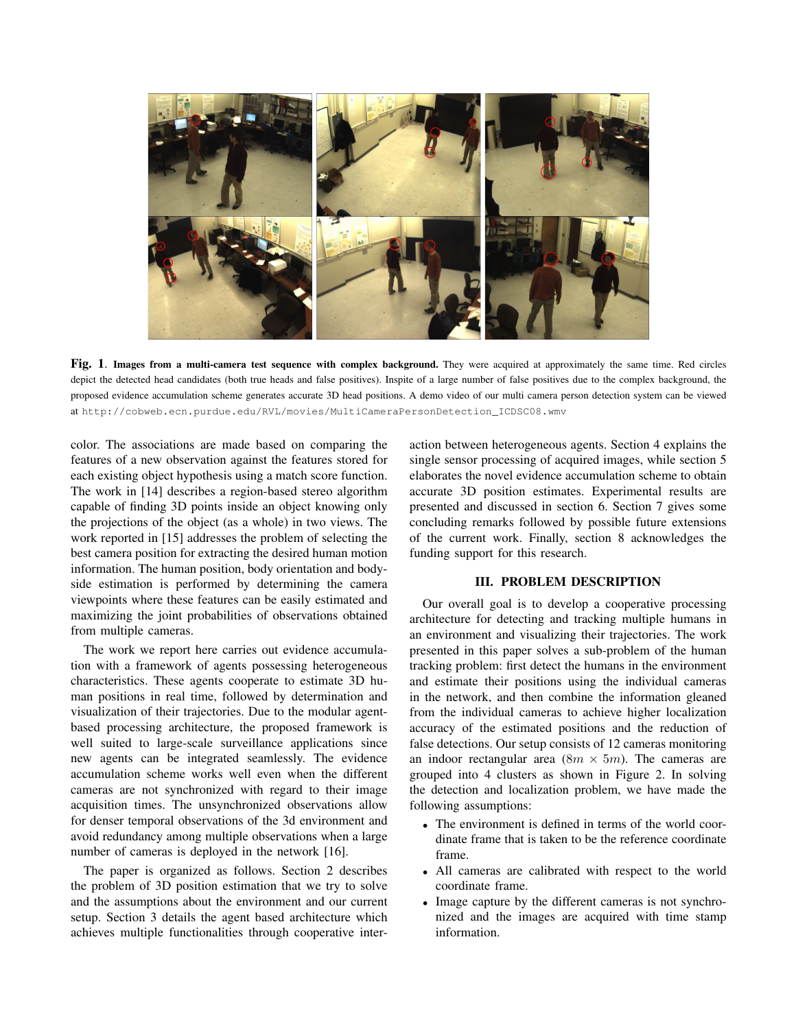

Fig. 1. Images from a multi-camera test sequence with complex background. They were acquired at approximately the same time. Red circles depict the detected head candidates (both true heads and false positives). Inspite of a large number of false positives due to the complex background, the proposed evidence accumulation scheme generates accurate 3D head positions. A demo video of our multi camera person detection system can be viewed at http://cobweb.ecn.purdue.edu/RVL/movies/MultiCameraPersonDetection\_ICDSC08.wmv

color. The associations are made based on comparing the features of a new observation against the features stored for each existing object hypothesis using a match score function. The work in [14] describes a region-based stereo algorithm capable of finding 3D points inside an object knowing only the projections of the object (as a whole) in two views. The work reported in [15] addresses the problem of selecting the best camera position for extracting the desired human motion information. The human position, body orientation and bodyside estimation is performed by determining the camera viewpoints where these features can be easily estimated and maximizing the joint probabilities of observations obtained from multiple cameras.

The work we report here carries out evidence accumulation with a framework of agents possessing heterogeneous characteristics. These agents cooperate to estimate 3D human positions in real time, followed by determination and visualization of their trajectories. Due to the modular agentbased processing architecture, the proposed framework is well suited to large-scale surveillance applications since new agents can be integrated seamlessly. The evidence accumulation scheme works well even when the different cameras are not synchronized with regard to their image acquisition times. The unsynchronized observations allow for denser temporal observations of the 3d environment and avoid redundancy among multiple observations when a large number of cameras is deployed in the network [16].

The paper is organized as follows. Section 2 describes the problem of 3D position estimation that we try to solve and the assumptions about the environment and our current setup. Section 3 details the agent based architecture which achieves multiple functionalities through cooperative interaction between heterogeneous agents. Section 4 explains the single sensor processing of acquired images, while section 5 elaborates the novel evidence accumulation scheme to obtain accurate 3D position estimates. Experimental results are presented and discussed in section 6. Section 7 gives some concluding remarks followed by possible future extensions of the current work. Finally, section 8 acknowledges the funding support for this research.

# III. PROBLEM DESCRIPTION

Our overall goal is to develop a cooperative processing architecture for detecting and tracking multiple humans in an environment and visualizing their trajectories. The work presented in this paper solves a sub-problem of the human tracking problem: first detect the humans in the environment and estimate their positions using the individual cameras in the network, and then combine the information gleaned from the individual cameras to achieve higher localization accuracy of the estimated positions and the reduction of false detections. Our setup consists of 12 cameras monitoring an indoor rectangular area  $(8m \times 5m)$ . The cameras are grouped into 4 clusters as shown in Figure 2. In solving the detection and localization problem, we have made the following assumptions:

- The environment is defined in terms of the world coordinate frame that is taken to be the reference coordinate frame.
- All cameras are calibrated with respect to the world coordinate frame.
- Image capture by the different cameras is not synchronized and the images are acquired with time stamp information.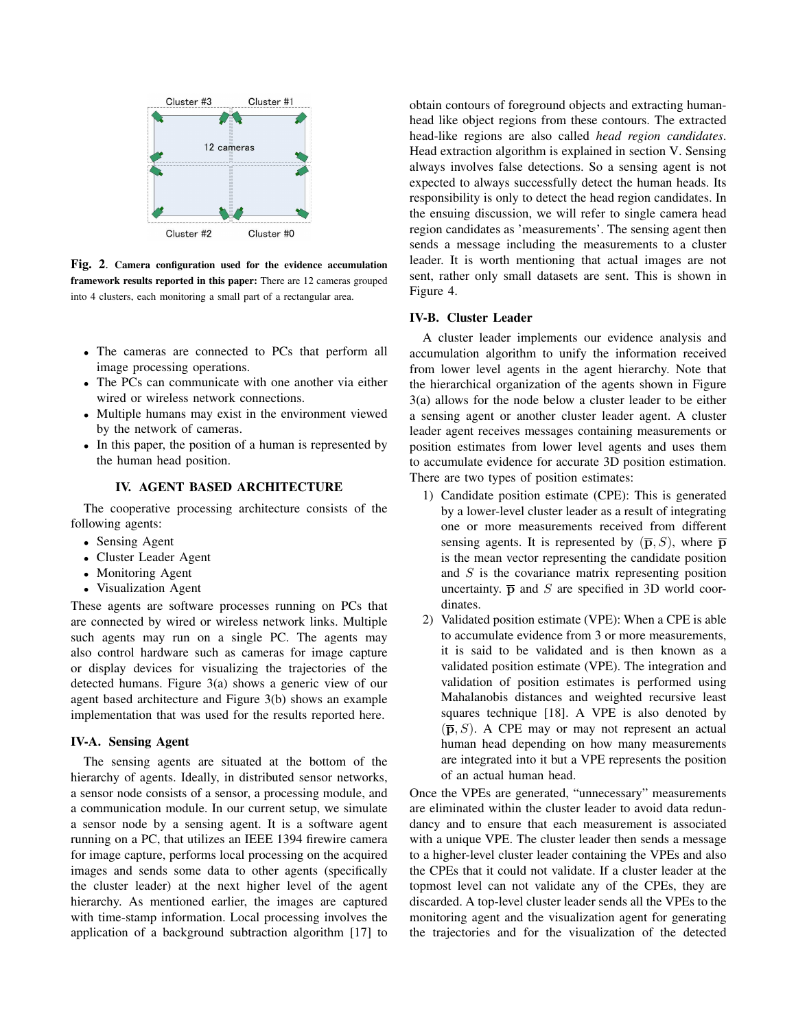

Fig. 2. Camera configuration used for the evidence accumulation framework results reported in this paper: There are 12 cameras grouped into 4 clusters, each monitoring a small part of a rectangular area.

- The cameras are connected to PCs that perform all image processing operations.
- The PCs can communicate with one another via either wired or wireless network connections.
- Multiple humans may exist in the environment viewed by the network of cameras.
- In this paper, the position of a human is represented by the human head position.

#### IV. AGENT BASED ARCHITECTURE

The cooperative processing architecture consists of the following agents:

- Sensing Agent
- Cluster Leader Agent
- Monitoring Agent
- Visualization Agent

These agents are software processes running on PCs that are connected by wired or wireless network links. Multiple such agents may run on a single PC. The agents may also control hardware such as cameras for image capture or display devices for visualizing the trajectories of the detected humans. Figure 3(a) shows a generic view of our agent based architecture and Figure 3(b) shows an example implementation that was used for the results reported here.

# IV-A. Sensing Agent

The sensing agents are situated at the bottom of the hierarchy of agents. Ideally, in distributed sensor networks, a sensor node consists of a sensor, a processing module, and a communication module. In our current setup, we simulate a sensor node by a sensing agent. It is a software agent running on a PC, that utilizes an IEEE 1394 firewire camera for image capture, performs local processing on the acquired images and sends some data to other agents (specifically the cluster leader) at the next higher level of the agent hierarchy. As mentioned earlier, the images are captured with time-stamp information. Local processing involves the application of a background subtraction algorithm [17] to

obtain contours of foreground objects and extracting humanhead like object regions from these contours. The extracted head-like regions are also called *head region candidates*. Head extraction algorithm is explained in section V. Sensing always involves false detections. So a sensing agent is not expected to always successfully detect the human heads. Its responsibility is only to detect the head region candidates. In the ensuing discussion, we will refer to single camera head region candidates as 'measurements'. The sensing agent then sends a message including the measurements to a cluster leader. It is worth mentioning that actual images are not sent, rather only small datasets are sent. This is shown in Figure 4.

#### IV-B. Cluster Leader

A cluster leader implements our evidence analysis and accumulation algorithm to unify the information received from lower level agents in the agent hierarchy. Note that the hierarchical organization of the agents shown in Figure 3(a) allows for the node below a cluster leader to be either a sensing agent or another cluster leader agent. A cluster leader agent receives messages containing measurements or position estimates from lower level agents and uses them to accumulate evidence for accurate 3D position estimation. There are two types of position estimates:

- 1) Candidate position estimate (CPE): This is generated by a lower-level cluster leader as a result of integrating one or more measurements received from different sensing agents. It is represented by  $(\overline{p}, S)$ , where  $\overline{p}$ is the mean vector representing the candidate position and  $S$  is the covariance matrix representing position uncertainty.  $\bar{p}$  and S are specified in 3D world coordinates.
- 2) Validated position estimate (VPE): When a CPE is able to accumulate evidence from 3 or more measurements, it is said to be validated and is then known as a validated position estimate (VPE). The integration and validation of position estimates is performed using Mahalanobis distances and weighted recursive least squares technique [18]. A VPE is also denoted by  $(\bar{\mathbf{p}}, S)$ . A CPE may or may not represent an actual human head depending on how many measurements are integrated into it but a VPE represents the position of an actual human head.

Once the VPEs are generated, "unnecessary" measurements are eliminated within the cluster leader to avoid data redundancy and to ensure that each measurement is associated with a unique VPE. The cluster leader then sends a message to a higher-level cluster leader containing the VPEs and also the CPEs that it could not validate. If a cluster leader at the topmost level can not validate any of the CPEs, they are discarded. A top-level cluster leader sends all the VPEs to the monitoring agent and the visualization agent for generating the trajectories and for the visualization of the detected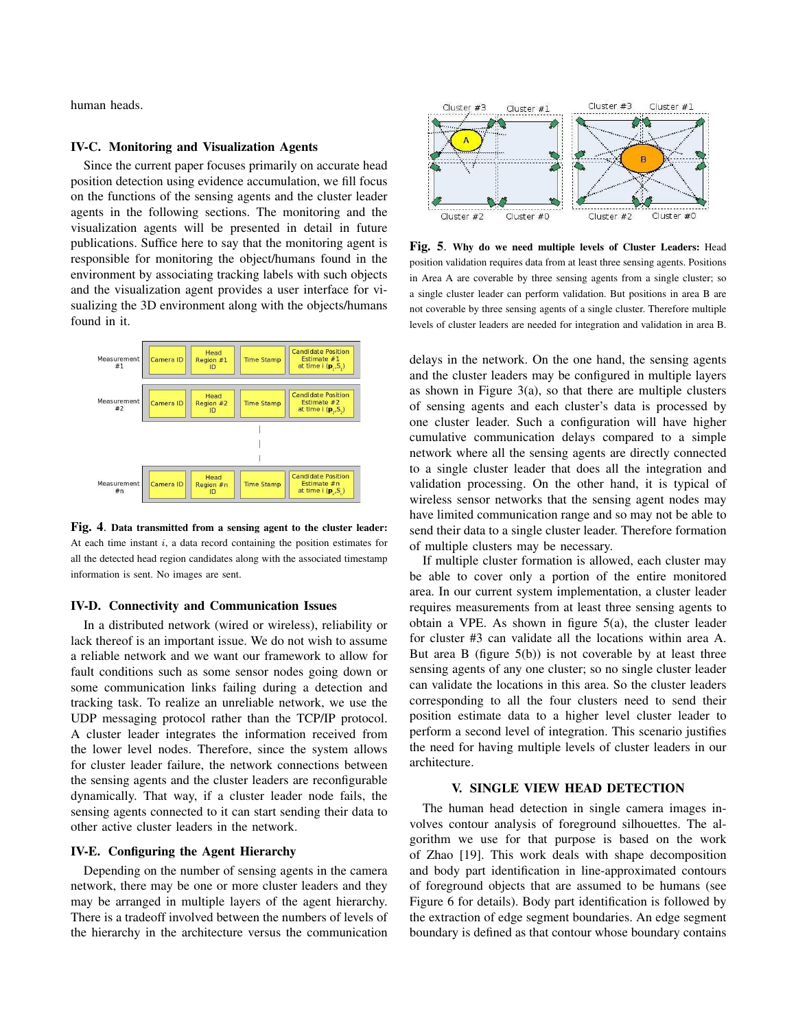human heads.

#### IV-C. Monitoring and Visualization Agents

Since the current paper focuses primarily on accurate head position detection using evidence accumulation, we fill focus on the functions of the sensing agents and the cluster leader agents in the following sections. The monitoring and the visualization agents will be presented in detail in future publications. Suffice here to say that the monitoring agent is responsible for monitoring the object/humans found in the environment by associating tracking labels with such objects and the visualization agent provides a user interface for visualizing the 3D environment along with the objects/humans found in it.



Fig. 4. Data transmitted from a sensing agent to the cluster leader: At each time instant  $i$ , a data record containing the position estimates for all the detected head region candidates along with the associated timestamp information is sent. No images are sent.

### IV-D. Connectivity and Communication Issues

In a distributed network (wired or wireless), reliability or lack thereof is an important issue. We do not wish to assume a reliable network and we want our framework to allow for fault conditions such as some sensor nodes going down or some communication links failing during a detection and tracking task. To realize an unreliable network, we use the UDP messaging protocol rather than the TCP/IP protocol. A cluster leader integrates the information received from the lower level nodes. Therefore, since the system allows for cluster leader failure, the network connections between the sensing agents and the cluster leaders are reconfigurable dynamically. That way, if a cluster leader node fails, the sensing agents connected to it can start sending their data to other active cluster leaders in the network.

### IV-E. Configuring the Agent Hierarchy

Depending on the number of sensing agents in the camera network, there may be one or more cluster leaders and they may be arranged in multiple layers of the agent hierarchy. There is a tradeoff involved between the numbers of levels of the hierarchy in the architecture versus the communication



Fig. 5. Why do we need multiple levels of Cluster Leaders: Head position validation requires data from at least three sensing agents. Positions in Area A are coverable by three sensing agents from a single cluster; so a single cluster leader can perform validation. But positions in area B are not coverable by three sensing agents of a single cluster. Therefore multiple levels of cluster leaders are needed for integration and validation in area B.

delays in the network. On the one hand, the sensing agents and the cluster leaders may be configured in multiple layers as shown in Figure 3(a), so that there are multiple clusters of sensing agents and each cluster's data is processed by one cluster leader. Such a configuration will have higher cumulative communication delays compared to a simple network where all the sensing agents are directly connected to a single cluster leader that does all the integration and validation processing. On the other hand, it is typical of wireless sensor networks that the sensing agent nodes may have limited communication range and so may not be able to send their data to a single cluster leader. Therefore formation of multiple clusters may be necessary.

If multiple cluster formation is allowed, each cluster may be able to cover only a portion of the entire monitored area. In our current system implementation, a cluster leader requires measurements from at least three sensing agents to obtain a VPE. As shown in figure 5(a), the cluster leader for cluster #3 can validate all the locations within area A. But area B (figure  $5(b)$ ) is not coverable by at least three sensing agents of any one cluster; so no single cluster leader can validate the locations in this area. So the cluster leaders corresponding to all the four clusters need to send their position estimate data to a higher level cluster leader to perform a second level of integration. This scenario justifies the need for having multiple levels of cluster leaders in our architecture.

#### V. SINGLE VIEW HEAD DETECTION

The human head detection in single camera images involves contour analysis of foreground silhouettes. The algorithm we use for that purpose is based on the work of Zhao [19]. This work deals with shape decomposition and body part identification in line-approximated contours of foreground objects that are assumed to be humans (see Figure 6 for details). Body part identification is followed by the extraction of edge segment boundaries. An edge segment boundary is defined as that contour whose boundary contains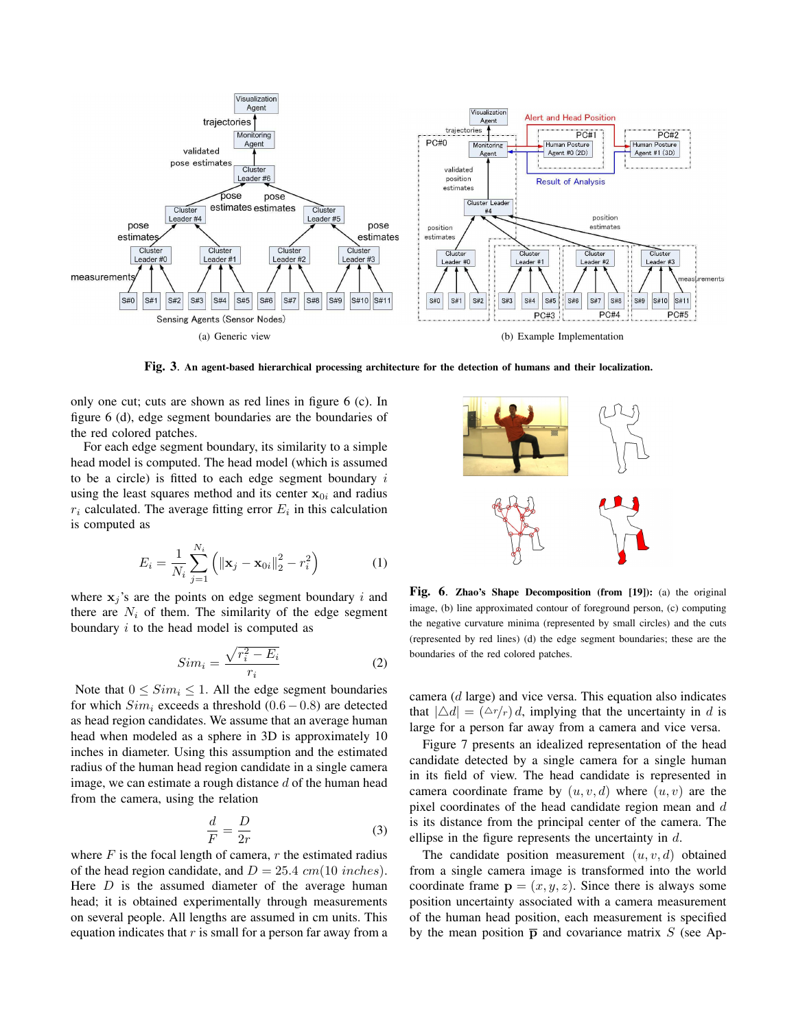

Fig. 3. An agent-based hierarchical processing architecture for the detection of humans and their localization.

only one cut; cuts are shown as red lines in figure 6 (c). In figure 6 (d), edge segment boundaries are the boundaries of the red colored patches.

For each edge segment boundary, its similarity to a simple head model is computed. The head model (which is assumed to be a circle) is fitted to each edge segment boundary  $i$ using the least squares method and its center  $x_{0i}$  and radius  $r_i$  calculated. The average fitting error  $E_i$  in this calculation is computed as

$$
E_i = \frac{1}{N_i} \sum_{j=1}^{N_i} \left( \|\mathbf{x}_j - \mathbf{x}_{0i}\|_2^2 - r_i^2 \right)
$$
 (1)

where  $x_i$ 's are the points on edge segment boundary i and there are  $N_i$  of them. The similarity of the edge segment boundary  $i$  to the head model is computed as

$$
Sim_i = \frac{\sqrt{r_i^2 - E_i}}{r_i} \tag{2}
$$

Note that  $0 \leq Sim_i \leq 1$ . All the edge segment boundaries for which  $Sim_i$  exceeds a threshold  $(0.6-0.8)$  are detected as head region candidates. We assume that an average human head when modeled as a sphere in 3D is approximately 10 inches in diameter. Using this assumption and the estimated radius of the human head region candidate in a single camera image, we can estimate a rough distance  $d$  of the human head from the camera, using the relation

$$
\frac{d}{F} = \frac{D}{2r} \tag{3}
$$

where  $F$  is the focal length of camera,  $r$  the estimated radius of the head region candidate, and  $D = 25.4$  cm(10 inches). Here  $D$  is the assumed diameter of the average human head; it is obtained experimentally through measurements on several people. All lengths are assumed in cm units. This equation indicates that  $r$  is small for a person far away from a



Fig. 6. Zhao's Shape Decomposition (from [19]): (a) the original image, (b) line approximated contour of foreground person, (c) computing the negative curvature minima (represented by small circles) and the cuts (represented by red lines) (d) the edge segment boundaries; these are the boundaries of the red colored patches.

camera (d large) and vice versa. This equation also indicates that  $|\triangle d| = (\triangle r/r) d$ , implying that the uncertainty in d is large for a person far away from a camera and vice versa.

Figure 7 presents an idealized representation of the head candidate detected by a single camera for a single human in its field of view. The head candidate is represented in camera coordinate frame by  $(u, v, d)$  where  $(u, v)$  are the pixel coordinates of the head candidate region mean and d is its distance from the principal center of the camera. The ellipse in the figure represents the uncertainty in  $d$ .

The candidate position measurement  $(u, v, d)$  obtained from a single camera image is transformed into the world coordinate frame  $\mathbf{p} = (x, y, z)$ . Since there is always some position uncertainty associated with a camera measurement of the human head position, each measurement is specified by the mean position  $\bar{p}$  and covariance matrix S (see Ap-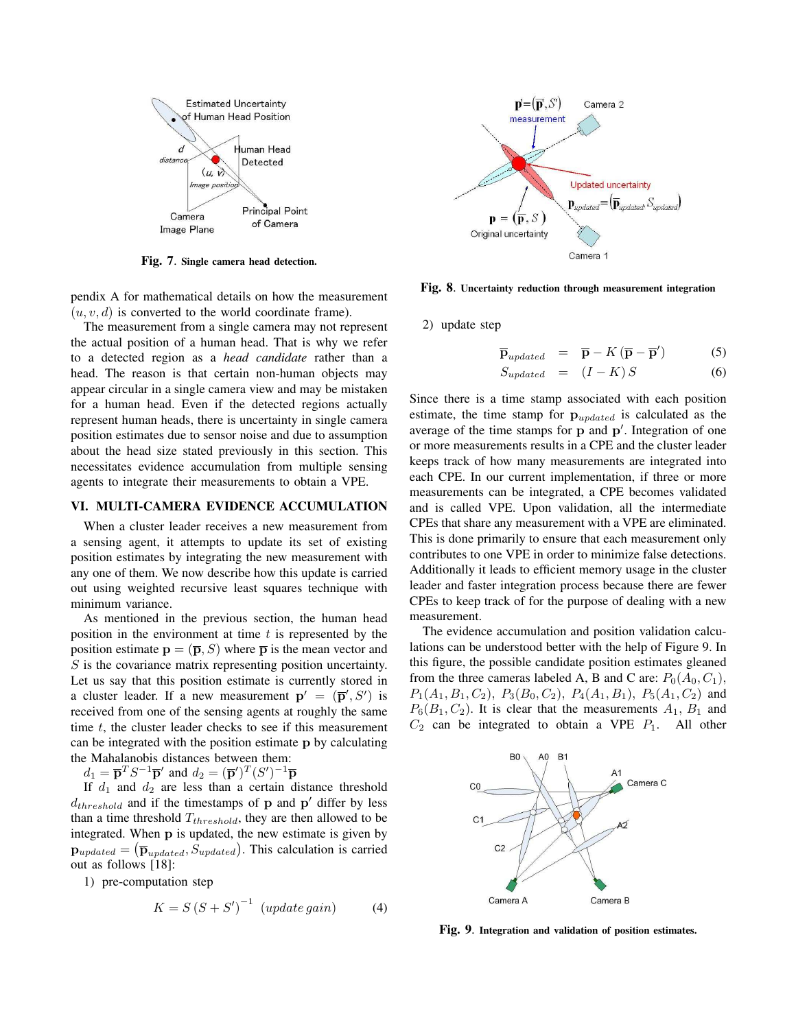

Fig. 7. Single camera head detection.

pendix A for mathematical details on how the measurement  $(u, v, d)$  is converted to the world coordinate frame).

The measurement from a single camera may not represent the actual position of a human head. That is why we refer to a detected region as a *head candidate* rather than a head. The reason is that certain non-human objects may appear circular in a single camera view and may be mistaken for a human head. Even if the detected regions actually represent human heads, there is uncertainty in single camera position estimates due to sensor noise and due to assumption about the head size stated previously in this section. This necessitates evidence accumulation from multiple sensing agents to integrate their measurements to obtain a VPE.

### VI. MULTI-CAMERA EVIDENCE ACCUMULATION

When a cluster leader receives a new measurement from a sensing agent, it attempts to update its set of existing position estimates by integrating the new measurement with any one of them. We now describe how this update is carried out using weighted recursive least squares technique with minimum variance.

As mentioned in the previous section, the human head position in the environment at time  $t$  is represented by the position estimate  $\mathbf{p} = (\overline{\mathbf{p}}, S)$  where  $\overline{\mathbf{p}}$  is the mean vector and  $S$  is the covariance matrix representing position uncertainty. Let us say that this position estimate is currently stored in a cluster leader. If a new measurement  ${\bf p}' = (\overline{\bf p}', S')$  is received from one of the sensing agents at roughly the same time  $t$ , the cluster leader checks to see if this measurement can be integrated with the position estimate p by calculating the Mahalanobis distances between them:

 $d_1 = \overline{\mathbf{p}}^T S^{-1} \overline{\mathbf{p}}'$  and  $d_2 = (\overline{\mathbf{p}}')^T (S')^{-1} \overline{\mathbf{p}}$ 

If  $d_1$  and  $d_2$  are less than a certain distance threshold  $d_{threshold}$  and if the timestamps of p and p' differ by less than a time threshold  $T_{threshold}$ , they are then allowed to be integrated. When p is updated, the new estimate is given by  $\mathbf{p}_{updated} = (\overline{\mathbf{p}}_{updated}, S_{updated})$ . This calculation is carried out as follows [18]:

1) pre-computation step

$$
K = S(S + S')^{-1} \quad (update \, gain) \tag{4}
$$



Fig. 8. Uncertainty reduction through measurement integration

2) update step

$$
\overline{\mathbf{p}}_{updated} = \overline{\mathbf{p}} - K(\overline{\mathbf{p}} - \overline{\mathbf{p}}')
$$
 (5)

$$
S_{updated} = (I - K) S \tag{6}
$$

Since there is a time stamp associated with each position estimate, the time stamp for  $\mathbf{p}_{updated}$  is calculated as the average of the time stamps for  $\bar{p}$  and  $\bar{p}'$ . Integration of one or more measurements results in a CPE and the cluster leader keeps track of how many measurements are integrated into each CPE. In our current implementation, if three or more measurements can be integrated, a CPE becomes validated and is called VPE. Upon validation, all the intermediate CPEs that share any measurement with a VPE are eliminated. This is done primarily to ensure that each measurement only contributes to one VPE in order to minimize false detections. Additionally it leads to efficient memory usage in the cluster leader and faster integration process because there are fewer CPEs to keep track of for the purpose of dealing with a new measurement.

The evidence accumulation and position validation calculations can be understood better with the help of Figure 9. In this figure, the possible candidate position estimates gleaned from the three cameras labeled A, B and C are:  $P_0(A_0, C_1)$ ,  $P_1(A_1, B_1, C_2)$ ,  $P_3(B_0, C_2)$ ,  $P_4(A_1, B_1)$ ,  $P_5(A_1, C_2)$  and  $P_6(B_1, C_2)$ . It is clear that the measurements  $A_1, B_1$  and  $C_2$  can be integrated to obtain a VPE  $P_1$ . All other



Fig. 9. Integration and validation of position estimates.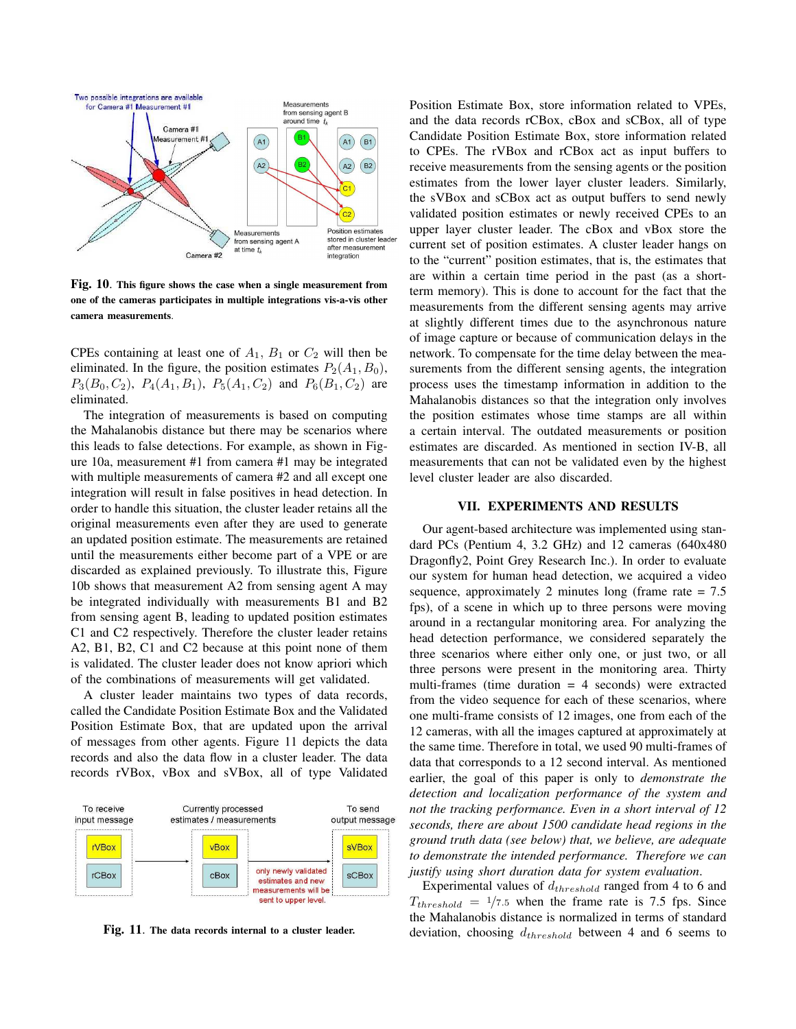

Fig. 10. This figure shows the case when a single measurement from one of the cameras participates in multiple integrations vis-a-vis other camera measurements.

CPEs containing at least one of  $A_1$ ,  $B_1$  or  $C_2$  will then be eliminated. In the figure, the position estimates  $P_2(A_1, B_0)$ ,  $P_3(B_0, C_2)$ ,  $P_4(A_1, B_1)$ ,  $P_5(A_1, C_2)$  and  $P_6(B_1, C_2)$  are eliminated.

The integration of measurements is based on computing the Mahalanobis distance but there may be scenarios where this leads to false detections. For example, as shown in Figure 10a, measurement #1 from camera #1 may be integrated with multiple measurements of camera #2 and all except one integration will result in false positives in head detection. In order to handle this situation, the cluster leader retains all the original measurements even after they are used to generate an updated position estimate. The measurements are retained until the measurements either become part of a VPE or are discarded as explained previously. To illustrate this, Figure 10b shows that measurement A2 from sensing agent A may be integrated individually with measurements B1 and B2 from sensing agent B, leading to updated position estimates C1 and C2 respectively. Therefore the cluster leader retains A2, B1, B2, C1 and C2 because at this point none of them is validated. The cluster leader does not know apriori which of the combinations of measurements will get validated.

A cluster leader maintains two types of data records, called the Candidate Position Estimate Box and the Validated Position Estimate Box, that are updated upon the arrival of messages from other agents. Figure 11 depicts the data records and also the data flow in a cluster leader. The data records rVBox, vBox and sVBox, all of type Validated



Fig. 11. The data records internal to a cluster leader.

Position Estimate Box, store information related to VPEs, and the data records rCBox, cBox and sCBox, all of type Candidate Position Estimate Box, store information related to CPEs. The rVBox and rCBox act as input buffers to receive measurements from the sensing agents or the position estimates from the lower layer cluster leaders. Similarly, the sVBox and sCBox act as output buffers to send newly validated position estimates or newly received CPEs to an upper layer cluster leader. The cBox and vBox store the current set of position estimates. A cluster leader hangs on to the "current" position estimates, that is, the estimates that are within a certain time period in the past (as a shortterm memory). This is done to account for the fact that the measurements from the different sensing agents may arrive at slightly different times due to the asynchronous nature of image capture or because of communication delays in the network. To compensate for the time delay between the measurements from the different sensing agents, the integration process uses the timestamp information in addition to the Mahalanobis distances so that the integration only involves the position estimates whose time stamps are all within a certain interval. The outdated measurements or position estimates are discarded. As mentioned in section IV-B, all measurements that can not be validated even by the highest level cluster leader are also discarded.

### VII. EXPERIMENTS AND RESULTS

Our agent-based architecture was implemented using standard PCs (Pentium 4, 3.2 GHz) and 12 cameras (640x480 Dragonfly2, Point Grey Research Inc.). In order to evaluate our system for human head detection, we acquired a video sequence, approximately 2 minutes long (frame rate = 7.5 fps), of a scene in which up to three persons were moving around in a rectangular monitoring area. For analyzing the head detection performance, we considered separately the three scenarios where either only one, or just two, or all three persons were present in the monitoring area. Thirty multi-frames (time duration  $= 4$  seconds) were extracted from the video sequence for each of these scenarios, where one multi-frame consists of 12 images, one from each of the 12 cameras, with all the images captured at approximately at the same time. Therefore in total, we used 90 multi-frames of data that corresponds to a 12 second interval. As mentioned earlier, the goal of this paper is only to *demonstrate the detection and localization performance of the system and not the tracking performance. Even in a short interval of 12 seconds, there are about 1500 candidate head regions in the ground truth data (see below) that, we believe, are adequate to demonstrate the intended performance. Therefore we can justify using short duration data for system evaluation*.

Experimental values of  $d_{threshold}$  ranged from 4 to 6 and  $T_{threshold} = 1/7.5$  when the frame rate is 7.5 fps. Since the Mahalanobis distance is normalized in terms of standard deviation, choosing  $d_{threshold}$  between 4 and 6 seems to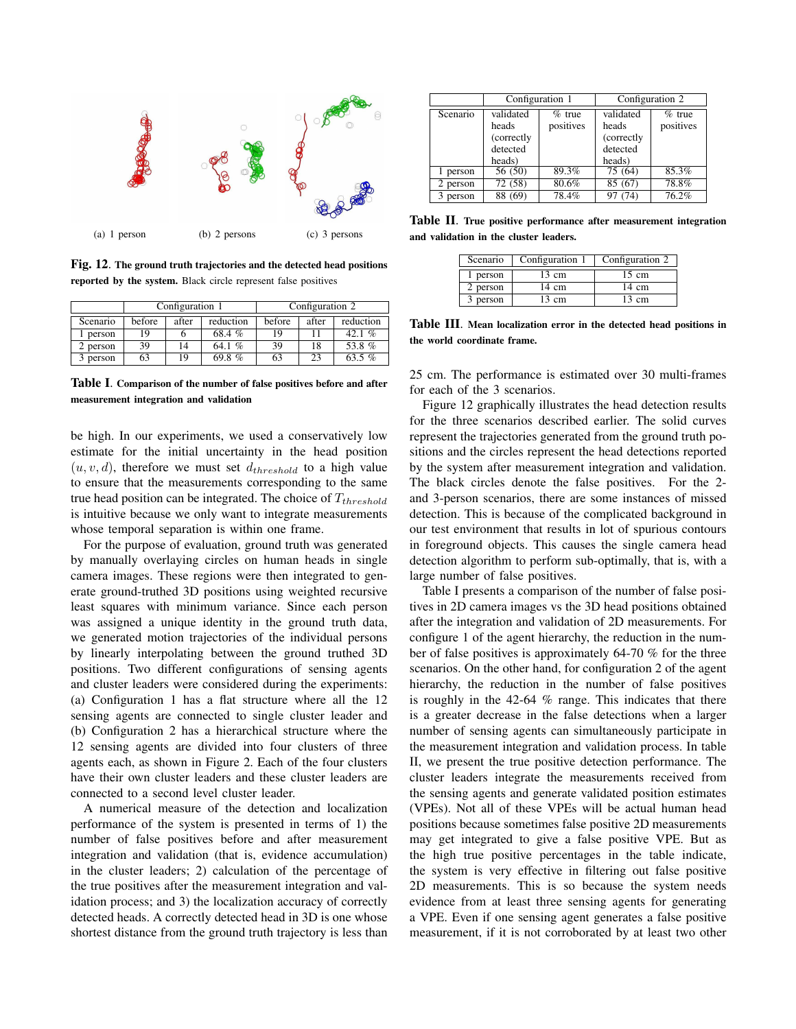

Fig. 12. The ground truth trajectories and the detected head positions reported by the system. Black circle represent false positives

|          | Configuration 1 |       |           | Configuration 2 |       |           |
|----------|-----------------|-------|-----------|-----------------|-------|-----------|
| Scenario | before          | after | reduction | before          | after | reduction |
| person   | 19              |       | 68.4%     | 19              |       | 42.1 $%$  |
| person   | 39              |       | 64.1 %    | 39              | 18    | 53.8%     |
| person   | 63              | 1 Q   | 69.8 $%$  | 63              | 23    | 63.5 $%$  |

Table I. Comparison of the number of false positives before and after measurement integration and validation

be high. In our experiments, we used a conservatively low estimate for the initial uncertainty in the head position  $(u, v, d)$ , therefore we must set  $d_{threshold}$  to a high value to ensure that the measurements corresponding to the same true head position can be integrated. The choice of  $T_{threshold}$ is intuitive because we only want to integrate measurements whose temporal separation is within one frame.

For the purpose of evaluation, ground truth was generated by manually overlaying circles on human heads in single camera images. These regions were then integrated to generate ground-truthed 3D positions using weighted recursive least squares with minimum variance. Since each person was assigned a unique identity in the ground truth data, we generated motion trajectories of the individual persons by linearly interpolating between the ground truthed 3D positions. Two different configurations of sensing agents and cluster leaders were considered during the experiments: (a) Configuration 1 has a flat structure where all the 12 sensing agents are connected to single cluster leader and (b) Configuration 2 has a hierarchical structure where the 12 sensing agents are divided into four clusters of three agents each, as shown in Figure 2. Each of the four clusters have their own cluster leaders and these cluster leaders are connected to a second level cluster leader.

A numerical measure of the detection and localization performance of the system is presented in terms of 1) the number of false positives before and after measurement integration and validation (that is, evidence accumulation) in the cluster leaders; 2) calculation of the percentage of the true positives after the measurement integration and validation process; and 3) the localization accuracy of correctly detected heads. A correctly detected head in 3D is one whose shortest distance from the ground truth trajectory is less than

|          | Configuration 1                   |                        | Configuration 2                   |                       |
|----------|-----------------------------------|------------------------|-----------------------------------|-----------------------|
| Scenario | validated<br>heads<br>(correctly) | $\%$ true<br>positives | validated<br>heads<br>(correctly) | $%$ true<br>positives |
|          | detected<br>heads)                |                        | detected<br>heads)                |                       |
| person   | 56 (50)                           | 89.3%                  | 75 (64)                           | 85.3%                 |
| 2 person | 72(58)                            | 80.6%                  | 85(67)                            | 78.8%                 |
| 3 person | 88(69)                            | 78.4%                  | 97(74)                            | 76.2%                 |

Table II. True positive performance after measurement integration and validation in the cluster leaders.

| Scenario | Configuration 1 | Configuration 2 |
|----------|-----------------|-----------------|
| 1 person | 13 cm           | 15 cm           |
| 2 person | 14 cm           | 14 cm           |
| 3 person | 13 cm           | 13 cm           |

Table III. Mean localization error in the detected head positions in the world coordinate frame.

25 cm. The performance is estimated over 30 multi-frames for each of the 3 scenarios.

Figure 12 graphically illustrates the head detection results for the three scenarios described earlier. The solid curves represent the trajectories generated from the ground truth positions and the circles represent the head detections reported by the system after measurement integration and validation. The black circles denote the false positives. For the 2 and 3-person scenarios, there are some instances of missed detection. This is because of the complicated background in our test environment that results in lot of spurious contours in foreground objects. This causes the single camera head detection algorithm to perform sub-optimally, that is, with a large number of false positives.

Table I presents a comparison of the number of false positives in 2D camera images vs the 3D head positions obtained after the integration and validation of 2D measurements. For configure 1 of the agent hierarchy, the reduction in the number of false positives is approximately 64-70 % for the three scenarios. On the other hand, for configuration 2 of the agent hierarchy, the reduction in the number of false positives is roughly in the 42-64 % range. This indicates that there is a greater decrease in the false detections when a larger number of sensing agents can simultaneously participate in the measurement integration and validation process. In table II, we present the true positive detection performance. The cluster leaders integrate the measurements received from the sensing agents and generate validated position estimates (VPEs). Not all of these VPEs will be actual human head positions because sometimes false positive 2D measurements may get integrated to give a false positive VPE. But as the high true positive percentages in the table indicate, the system is very effective in filtering out false positive 2D measurements. This is so because the system needs evidence from at least three sensing agents for generating a VPE. Even if one sensing agent generates a false positive measurement, if it is not corroborated by at least two other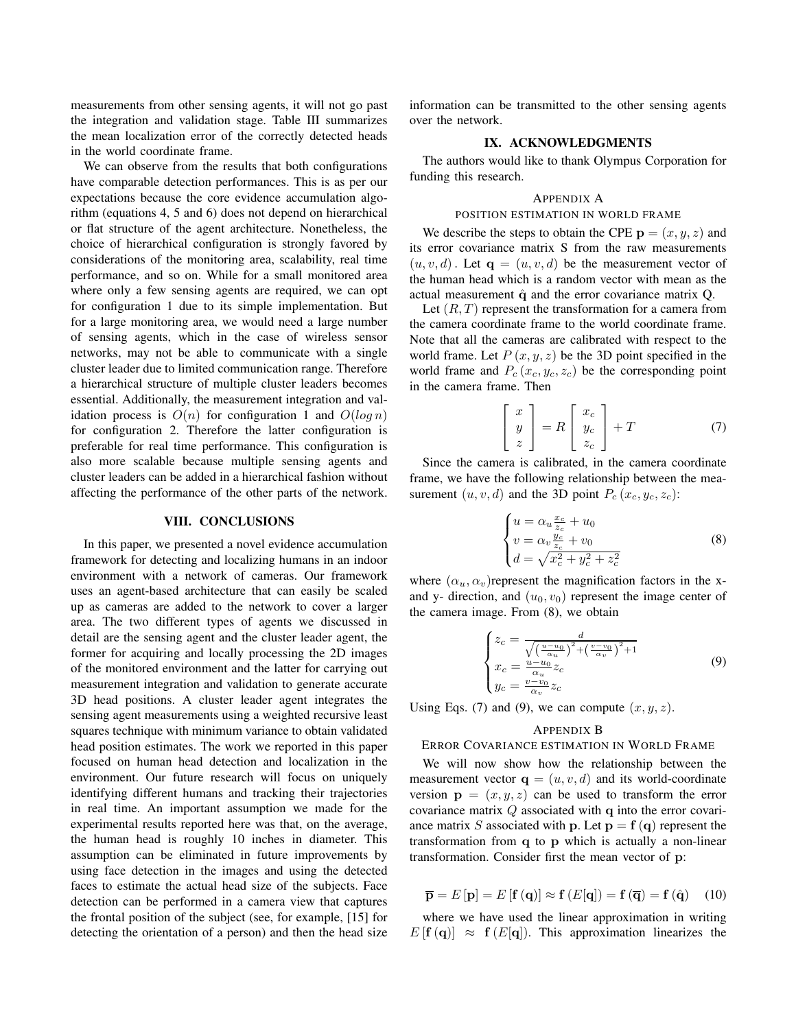measurements from other sensing agents, it will not go past the integration and validation stage. Table III summarizes the mean localization error of the correctly detected heads in the world coordinate frame.

We can observe from the results that both configurations have comparable detection performances. This is as per our expectations because the core evidence accumulation algorithm (equations 4, 5 and 6) does not depend on hierarchical or flat structure of the agent architecture. Nonetheless, the choice of hierarchical configuration is strongly favored by considerations of the monitoring area, scalability, real time performance, and so on. While for a small monitored area where only a few sensing agents are required, we can opt for configuration 1 due to its simple implementation. But for a large monitoring area, we would need a large number of sensing agents, which in the case of wireless sensor networks, may not be able to communicate with a single cluster leader due to limited communication range. Therefore a hierarchical structure of multiple cluster leaders becomes essential. Additionally, the measurement integration and validation process is  $O(n)$  for configuration 1 and  $O(log n)$ for configuration 2. Therefore the latter configuration is preferable for real time performance. This configuration is also more scalable because multiple sensing agents and cluster leaders can be added in a hierarchical fashion without affecting the performance of the other parts of the network.

### VIII. CONCLUSIONS

In this paper, we presented a novel evidence accumulation framework for detecting and localizing humans in an indoor environment with a network of cameras. Our framework uses an agent-based architecture that can easily be scaled up as cameras are added to the network to cover a larger area. The two different types of agents we discussed in detail are the sensing agent and the cluster leader agent, the former for acquiring and locally processing the 2D images of the monitored environment and the latter for carrying out measurement integration and validation to generate accurate 3D head positions. A cluster leader agent integrates the sensing agent measurements using a weighted recursive least squares technique with minimum variance to obtain validated head position estimates. The work we reported in this paper focused on human head detection and localization in the environment. Our future research will focus on uniquely identifying different humans and tracking their trajectories in real time. An important assumption we made for the experimental results reported here was that, on the average, the human head is roughly 10 inches in diameter. This assumption can be eliminated in future improvements by using face detection in the images and using the detected faces to estimate the actual head size of the subjects. Face detection can be performed in a camera view that captures the frontal position of the subject (see, for example, [15] for detecting the orientation of a person) and then the head size information can be transmitted to the other sensing agents over the network.

#### IX. ACKNOWLEDGMENTS

The authors would like to thank Olympus Corporation for funding this research.

## APPENDIX A

### POSITION ESTIMATION IN WORLD FRAME

We describe the steps to obtain the CPE  $\mathbf{p} = (x, y, z)$  and its error covariance matrix S from the raw measurements  $(u, v, d)$ . Let  $\mathbf{q} = (u, v, d)$  be the measurement vector of the human head which is a random vector with mean as the actual measurement  $\hat{q}$  and the error covariance matrix Q.

Let  $(R, T)$  represent the transformation for a camera from the camera coordinate frame to the world coordinate frame. Note that all the cameras are calibrated with respect to the world frame. Let  $P(x, y, z)$  be the 3D point specified in the world frame and  $P_c(x_c, y_c, z_c)$  be the corresponding point in the camera frame. Then

$$
\begin{bmatrix} x \\ y \\ z \end{bmatrix} = R \begin{bmatrix} x_c \\ y_c \\ z_c \end{bmatrix} + T \tag{7}
$$

Since the camera is calibrated, in the camera coordinate frame, we have the following relationship between the measurement  $(u, v, d)$  and the 3D point  $P_c(x_c, y_c, z_c)$ :

$$
\begin{cases}\n u = \alpha_u \frac{x_c}{z_c} + u_0 \\
 v = \alpha_v \frac{y_c}{z_c} + v_0 \\
 d = \sqrt{x_c^2 + y_c^2 + z_c^2}\n\end{cases}
$$
\n(8)

where  $(\alpha_u, \alpha_v)$  represent the magnification factors in the xand y- direction, and  $(u_0, v_0)$  represent the image center of the camera image. From (8), we obtain

$$
\begin{cases}\nz_c = \frac{d}{\sqrt{\left(\frac{u-u_0}{\alpha_u}\right)^2 + \left(\frac{v-v_0}{\alpha_v}\right)^2 + 1}} \\
x_c = \frac{u-u_0}{\alpha_u} z_c \\
y_c = \frac{v-v_0}{\alpha_v} z_c\n\end{cases} \tag{9}
$$

Using Eqs. (7) and (9), we can compute  $(x, y, z)$ .

# APPENDIX B

### ERROR COVARIANCE ESTIMATION IN WORLD FRAME

We will now show how the relationship between the measurement vector  $\mathbf{q} = (u, v, d)$  and its world-coordinate version  $\mathbf{p} = (x, y, z)$  can be used to transform the error covariance matrix Q associated with q into the error covariance matrix S associated with p. Let  $p = f(q)$  represent the transformation from q to p which is actually a non-linear transformation. Consider first the mean vector of p:

$$
\overline{\mathbf{p}} = E[\mathbf{p}] = E[\mathbf{f}(\mathbf{q})] \approx \mathbf{f}(E[\mathbf{q}]) = \mathbf{f}(\overline{\mathbf{q}}) = \mathbf{f}(\hat{\mathbf{q}}) \quad (10)
$$

where we have used the linear approximation in writing  $E[\mathbf{f}(\mathbf{q})] \approx \mathbf{f}(E[\mathbf{q}])$ . This approximation linearizes the